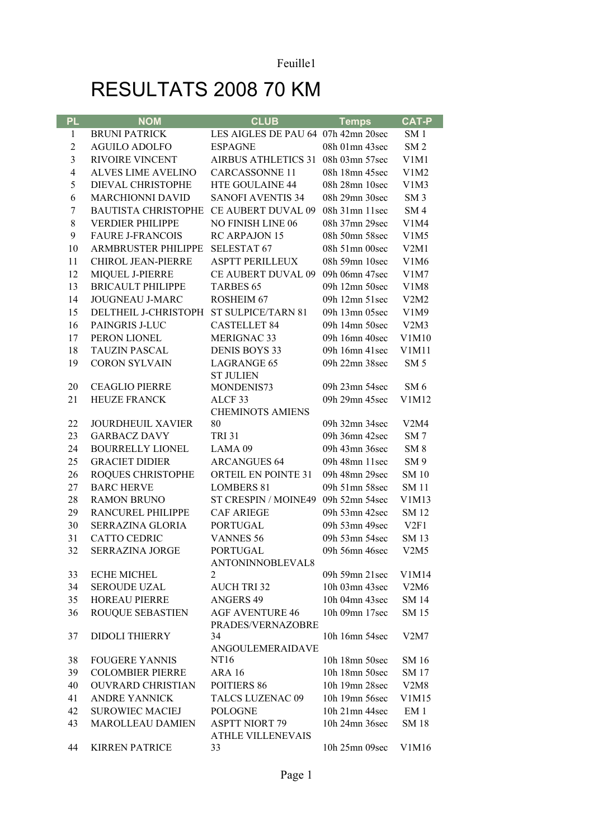## RESULTATS 2008 70 KM

| <b>PL</b>      | <b>NOM</b>                 | <b>CLUB</b>                         | <b>Temps</b>                     | <b>CAT-P</b>                  |
|----------------|----------------------------|-------------------------------------|----------------------------------|-------------------------------|
| $\mathbf{1}$   | <b>BRUNI PATRICK</b>       | LES AIGLES DE PAU 64 07h 42mn 20sec |                                  | SM <sub>1</sub>               |
| $\overline{2}$ | <b>AGUILO ADOLFO</b>       | <b>ESPAGNE</b>                      | 08h 01mn 43sec                   | SM <sub>2</sub>               |
| 3              | <b>RIVOIRE VINCENT</b>     | AIRBUS ATHLETICS 31 08h 03mn 57sec  |                                  | V1M1                          |
| $\overline{4}$ | <b>ALVES LIME AVELINO</b>  | <b>CARCASSONNE 11</b>               | 08h 18mn 45sec                   | V1M2                          |
| 5              | DIEVAL CHRISTOPHE          | HTE GOULAINE 44                     | 08h 28mn 10sec                   | V1M3                          |
| 6              | <b>MARCHIONNI DAVID</b>    | <b>SANOFI AVENTIS 34</b>            | 08h 29mn 30sec                   | SM <sub>3</sub>               |
| $\overline{7}$ | <b>BAUTISTA CHRISTOPHE</b> | CE AUBERT DUVAL 09                  | 08h 31mn 11sec                   | SM <sub>4</sub>               |
| 8              | <b>VERDIER PHILIPPE</b>    | NO FINISH LINE 06                   | 08h 37mn 29sec                   | V <sub>1</sub> M <sub>4</sub> |
| 9              | <b>FAURE J-FRANCOIS</b>    | RC ARPAJON 15                       | 08h 50mn 58sec                   | V1M5                          |
| 10             | ARMBRUSTER PHILIPPE        | <b>SELESTAT 67</b>                  | 08h 51mn 00sec                   | V2M1                          |
| 11             | <b>CHIROL JEAN-PIERRE</b>  | <b>ASPTT PERILLEUX</b>              | 08h 59mn 10sec                   | V1M6                          |
| 12             | MIQUEL J-PIERRE            | <b>CE AUBERT DUVAL 09</b>           | 09h 06mn 47sec                   | V1M7                          |
| 13             | <b>BRICAULT PHILIPPE</b>   | <b>TARBES 65</b>                    | 09h 12mn 50sec                   | V1M8                          |
| 14             | <b>JOUGNEAU J-MARC</b>     | <b>ROSHEIM 67</b>                   | 09h 12mn 51sec                   | V2M2                          |
| 15             | DELTHEIL J-CHRISTOPH       | ST SULPICE/TARN 81                  | 09h 13mn 05sec                   | V1M9                          |
| 16             | PAINGRIS J-LUC             | <b>CASTELLET 84</b>                 | 09h 14mn 50sec                   | V2M3                          |
| 17             | PERON LIONEL               | <b>MERIGNAC 33</b>                  | 09h 16mn 40sec                   | V1M10                         |
| 18             | <b>TAUZIN PASCAL</b>       | <b>DENIS BOYS 33</b>                | 09h 16mn 41sec                   | V1M11                         |
| 19             | <b>CORON SYLVAIN</b>       | <b>LAGRANGE 65</b>                  | 09h 22mn 38sec                   | SM <sub>5</sub>               |
|                | <b>CEAGLIO PIERRE</b>      | <b>ST JULIEN</b>                    |                                  |                               |
| 20<br>21       | <b>HEUZE FRANCK</b>        | MONDENIS73<br>ALCF <sub>33</sub>    | 09h 23mn 54sec<br>09h 29mn 45sec | SM <sub>6</sub><br>V1M12      |
|                |                            | <b>CHEMINOTS AMIENS</b>             |                                  |                               |
| 22             | <b>JOURDHEUIL XAVIER</b>   | 80                                  | 09h 32mn 34sec                   | V2M4                          |
| 23             | <b>GARBACZ DAVY</b>        | <b>TRI 31</b>                       | 09h 36mn 42sec                   | SM <sub>7</sub>               |
| 24             | <b>BOURRELLY LIONEL</b>    | LAMA <sub>09</sub>                  | 09h 43mn 36sec                   | SM <sub>8</sub>               |
| 25             | <b>GRACIET DIDIER</b>      | <b>ARCANGUES 64</b>                 | 09h 48mn 11sec                   | SM <sub>9</sub>               |
| 26             | ROQUES CHRISTOPHE          | ORTEIL EN POINTE 31                 | 09h 48mn 29sec                   | <b>SM 10</b>                  |
| 27             | <b>BARC HERVE</b>          | <b>LOMBERS 81</b>                   | 09h 51mn 58sec                   | <b>SM 11</b>                  |
| 28             | <b>RAMON BRUNO</b>         | ST CRESPIN / MOINE49 09h 52mn 54sec |                                  | V1M13                         |
| 29             | <b>RANCUREL PHILIPPE</b>   | <b>CAF ARIEGE</b>                   | 09h 53mn 42sec                   | <b>SM 12</b>                  |
| 30             | SERRAZINA GLORIA           | <b>PORTUGAL</b>                     | 09h 53mn 49sec                   | V2F1                          |
| 31             | <b>CATTO CEDRIC</b>        | <b>VANNES 56</b>                    | 09h 53mn 54sec                   | <b>SM13</b>                   |
| 32             | SERRAZINA JORGE            | <b>PORTUGAL</b>                     | 09h 56mn 46sec                   | V2M5                          |
|                |                            | ANTONINNOBLEVAL8                    |                                  |                               |
| 33             | <b>ECHE MICHEL</b>         | 2                                   | 09h 59mn 21sec                   | V1M14                         |
| 34             | <b>SEROUDE UZAL</b>        | <b>AUCH TRI 32</b>                  | 10h 03mn 43sec                   | V2M6                          |
| 35             | <b>HOREAU PIERRE</b>       | <b>ANGERS 49</b>                    | 10h 04mn 43sec                   | <b>SM 14</b>                  |
| 36             | <b>ROUQUE SEBASTIEN</b>    | <b>AGF AVENTURE 46</b>              | 10h 09mn 17sec                   | SM 15                         |
|                |                            | PRADES/VERNAZOBRE                   |                                  |                               |
| 37             | <b>DIDOLI THIERRY</b>      | 34<br>ANGOULEMERAIDAVE              | 10h 16mn 54sec                   | V2M7                          |
| 38             | <b>FOUGERE YANNIS</b>      | NT16                                | 10h 18mn 50sec                   | SM 16                         |
| 39             | <b>COLOMBIER PIERRE</b>    | <b>ARA 16</b>                       | 10h 18mn 50sec                   | SM 17                         |
| 40             | <b>OUVRARD CHRISTIAN</b>   | POITIERS 86                         | 10h 19mn 28sec                   | V2M8                          |
| 41             | <b>ANDRE YANNICK</b>       | <b>TALCS LUZENAC 09</b>             | 10h 19mn 56sec                   | V1M15                         |
| 42             | <b>SUROWIEC MACIEJ</b>     | <b>POLOGNE</b>                      | 10h 21mn 44sec                   | EM 1                          |
| 43             | <b>MAROLLEAU DAMIEN</b>    | <b>ASPTT NIORT 79</b>               | 10h 24mn 36sec                   | <b>SM18</b>                   |
|                |                            | <b>ATHLE VILLENEVAIS</b>            |                                  |                               |
| 44             | <b>KIRREN PATRICE</b>      | 33                                  | 10h 25mn 09sec                   | V1M16                         |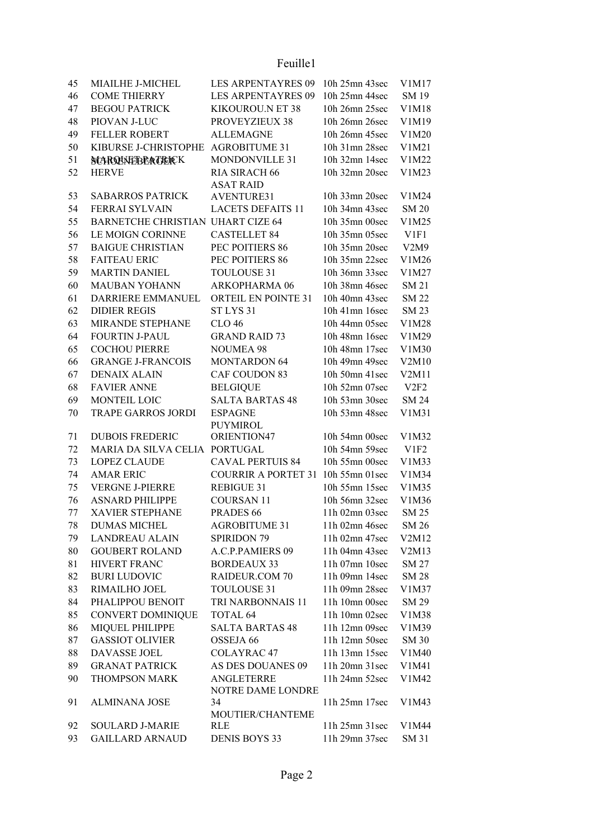Feuille1

| 45 | MIAILHE J-MICHEL                  | <b>LES ARPENTAYRES 09</b>         | 10h 25mn 43sec | V1M17        |
|----|-----------------------------------|-----------------------------------|----------------|--------------|
| 46 | <b>COME THIERRY</b>               | <b>LES ARPENTAYRES 09</b>         | 10h 25mn 44sec | SM 19        |
| 47 | <b>BEGOU PATRICK</b>              | KIKOUROU.N ET 38                  | 10h 26mn 25sec | V1M18        |
| 48 | PIOVAN J-LUC                      | PROVEYZIEUX 38                    | 10h 26mn 26sec | V1M19        |
| 49 | <b>FELLER ROBERT</b>              | <b>ALLEMAGNE</b>                  | 10h 26mn 45sec | V1M20        |
| 50 | KIBURSE J-CHRISTOPHE              | <b>AGROBITUME 31</b>              | 10h 31mn 28sec | V1M21        |
| 51 |                                   | MONDONVILLE 31                    | 10h 32mn 14sec | V1M22        |
|    | <b>NCARQUNEEBRAGEICK</b>          |                                   |                |              |
| 52 | <b>HERVE</b>                      | RIA SIRACH 66<br><b>ASAT RAID</b> | 10h 32mn 20sec | V1M23        |
| 53 | <b>SABARROS PATRICK</b>           | <b>AVENTURE31</b>                 | 10h 33mn 20sec | V1M24        |
| 54 | FERRAI SYLVAIN                    | <b>LACETS DEFAITS 11</b>          | 10h 34mn 43sec | <b>SM 20</b> |
| 55 | BARNETCHE CHRISTIAN UHART CIZE 64 |                                   | 10h 35mn 00sec | V1M25        |
| 56 | LE MOIGN CORINNE                  | <b>CASTELLET 84</b>               | 10h 35mn 05sec | V1F1         |
| 57 | <b>BAIGUE CHRISTIAN</b>           | PEC POITIERS 86                   | 10h 35mn 20sec | V2M9         |
| 58 | <b>FAITEAU ERIC</b>               | PEC POITIERS 86                   | 10h 35mn 22sec | V1M26        |
| 59 | <b>MARTIN DANIEL</b>              | <b>TOULOUSE 31</b>                | 10h 36mn 33sec | V1M27        |
| 60 | <b>MAUBAN YOHANN</b>              | ARKOPHARMA 06                     | 10h 38mn 46sec | SM 21        |
| 61 | DARRIERE EMMANUEL                 | ORTEIL EN POINTE 31               | 10h 40mn 43sec | <b>SM 22</b> |
| 62 | <b>DIDIER REGIS</b>               | ST LYS <sub>31</sub>              | 10h 41mn 16sec | SM 23        |
|    |                                   |                                   |                |              |
| 63 | MIRANDE STEPHANE                  | <b>CLO 46</b>                     | 10h 44mn 05sec | V1M28        |
| 64 | <b>FOURTIN J-PAUL</b>             | <b>GRAND RAID 73</b>              | 10h 48mn 16sec | V1M29        |
| 65 | <b>COCHOU PIERRE</b>              | <b>NOUMEA 98</b>                  | 10h 48mn 17sec | V1M30        |
| 66 | <b>GRANGE J-FRANCOIS</b>          | <b>MONTARDON 64</b>               | 10h 49mn 49sec | V2M10        |
| 67 | <b>DENAIX ALAIN</b>               | CAF COUDON 83                     | 10h 50mn 41sec | V2M11        |
| 68 | <b>FAVIER ANNE</b>                | <b>BELGIQUE</b>                   | 10h 52mn 07sec | V2F2         |
| 69 | MONTEIL LOIC                      | <b>SALTA BARTAS 48</b>            | 10h 53mn 30sec | <b>SM 24</b> |
| 70 | <b>TRAPE GARROS JORDI</b>         | <b>ESPAGNE</b>                    | 10h 53mn 48sec | V1M31        |
|    |                                   | <b>PUYMIROL</b>                   |                |              |
| 71 | <b>DUBOIS FREDERIC</b>            | ORIENTION47                       | 10h 54mn 00sec | V1M32        |
| 72 | MARIA DA SILVA CELIA PORTUGAL     |                                   | 10h 54mn 59sec | V1F2         |
| 73 | <b>LOPEZ CLAUDE</b>               | <b>CAVAL PERTUIS 84</b>           | 10h 55mn 00sec | V1M33        |
| 74 | <b>AMAR ERIC</b>                  | <b>COURRIR A PORTET 31</b>        | 10h 55mn 01sec | V1M34        |
| 75 | <b>VERGNE J-PIERRE</b>            | <b>REBIGUE 31</b>                 | 10h 55mn 15sec | V1M35        |
| 76 | <b>ASNARD PHILIPPE</b>            | <b>COURSAN 11</b>                 | 10h 56mn 32sec | V1M36        |
| 77 | <b>XAVIER STEPHANE</b>            | PRADES <sub>66</sub>              | 11h 02mn 03sec | <b>SM 25</b> |
| 78 | <b>DUMAS MICHEL</b>               | <b>AGROBITUME 31</b>              | 11h 02mn 46sec | SM 26        |
| 79 | <b>LANDREAU ALAIN</b>             | <b>SPIRIDON 79</b>                | 11h 02mn 47sec | V2M12        |
| 80 | <b>GOUBERT ROLAND</b>             | A.C.P.PAMIERS 09                  | 11h 04mn 43sec | V2M13        |
| 81 | HIVERT FRANC                      | <b>BORDEAUX 33</b>                | 11h 07mn 10sec | SM 27        |
| 82 | <b>BURI LUDOVIC</b>               | RAIDEUR.COM 70                    | 11h 09mn 14sec | <b>SM 28</b> |
| 83 | RIMAILHO JOEL                     | <b>TOULOUSE 31</b>                | 11h 09mn 28sec | V1M37        |
| 84 | PHALIPPOU BENOIT                  | TRI NARBONNAIS 11                 | 11h 10mn 00sec | SM 29        |
| 85 | <b>CONVERT DOMINIQUE</b>          | TOTAL <sub>64</sub>               | 11h 10mn 02sec | V1M38        |
| 86 | MIQUEL PHILIPPE                   | <b>SALTA BARTAS 48</b>            | 11h 12mn 09sec | V1M39        |
| 87 | <b>GASSIOT OLIVIER</b>            | OSSEJA 66                         | 11h 12mn 50sec | SM 30        |
| 88 | DAVASSE JOEL                      | <b>COLAYRAC 47</b>                | 11h 13mn 15sec | V1M40        |
| 89 | <b>GRANAT PATRICK</b>             | AS DES DOUANES 09                 | 11h 20mn 31sec | V1M41        |
| 90 | THOMPSON MARK                     | ANGLETERRE                        | 11h 24mn 52sec | V1M42        |
|    |                                   | NOTRE DAME LONDRE                 |                |              |
| 91 | <b>ALMINANA JOSE</b>              | 34                                | 11h 25mn 17sec | V1M43        |
|    |                                   | MOUTIER/CHANTEME                  |                |              |
| 92 | <b>SOULARD J-MARIE</b>            | RLE                               | 11h 25mn 31sec | V1M44        |
| 93 | <b>GAILLARD ARNAUD</b>            | <b>DENIS BOYS 33</b>              | 11h 29mn 37sec | SM 31        |
|    |                                   |                                   |                |              |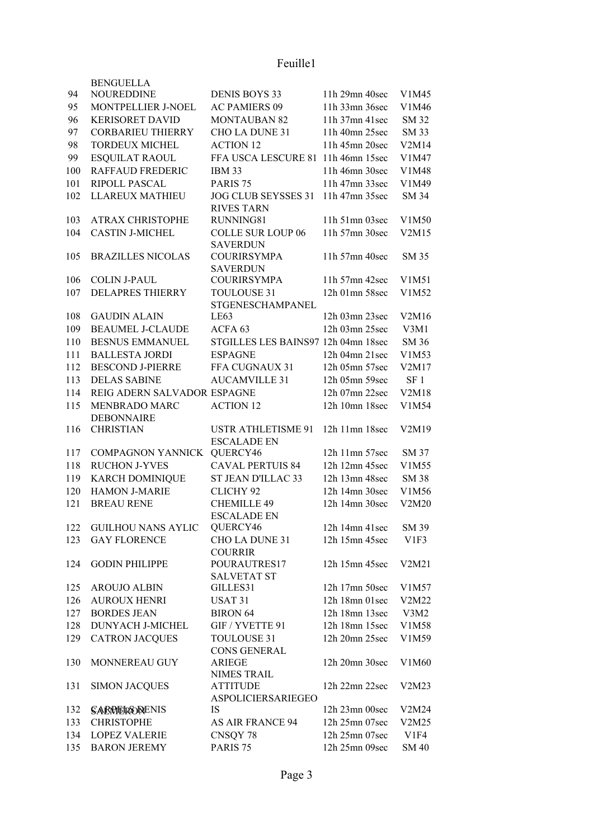## Feuille1

|     | <b>BENGUELLA</b>                   |                                                 |                      |                 |
|-----|------------------------------------|-------------------------------------------------|----------------------|-----------------|
| 94  | NOUREDDINE                         | <b>DENIS BOYS 33</b>                            | 11h 29mn 40sec       | V1M45           |
| 95  | MONTPELLIER J-NOEL                 | <b>AC PAMIERS 09</b>                            | 11h 33mn 36sec       | V1M46           |
| 96  | <b>KERISORET DAVID</b>             | <b>MONTAUBAN 82</b>                             | 11h 37mn 41sec       | SM 32           |
| 97  | <b>CORBARIEU THIERRY</b>           | CHO LA DUNE 31                                  | 11h 40mn 25sec       | <b>SM 33</b>    |
| 98  | <b>TORDEUX MICHEL</b>              | <b>ACTION 12</b>                                | 11h 45mn 20sec       | V2M14           |
| 99  | <b>ESQUILAT RAOUL</b>              | FFA USCA LESCURE 81 11h 46mn 15sec              |                      | V1M47           |
| 100 | <b>RAFFAUD FREDERIC</b>            | <b>IBM 33</b>                                   | 11h 46mn 30sec       | V1M48           |
| 101 | RIPOLL PASCAL                      | PARIS <sub>75</sub>                             | 11h 47mn 33sec       | V1M49           |
| 102 | <b>LLAREUX MATHIEU</b>             | JOG CLUB SEYSSES 31<br><b>RIVES TARN</b>        | 11h 47mn 35sec       | SM 34           |
| 103 | <b>ATRAX CHRISTOPHE</b>            | RUNNING81                                       | $11h$ 51mn 03sec     | V1M50           |
| 104 | <b>CASTIN J-MICHEL</b>             | <b>COLLE SUR LOUP 06</b><br><b>SAVERDUN</b>     | 11h 57mn 30sec       | V2M15           |
| 105 | <b>BRAZILLES NICOLAS</b>           | <b>COURIRSYMPA</b><br><b>SAVERDUN</b>           | 11h 57mn 40sec       | SM 35           |
| 106 | <b>COLIN J-PAUL</b>                | <b>COURIRSYMPA</b>                              | 11h 57mn 42sec       | V1M51           |
| 107 | <b>DELAPRES THIERRY</b>            | <b>TOULOUSE 31</b><br>STGENESCHAMPANEL          | 12h 01mn 58sec       | V1M52           |
| 108 | <b>GAUDIN ALAIN</b>                | LE63                                            | 12h 03mn 23sec       | V2M16           |
| 109 | <b>BEAUMEL J-CLAUDE</b>            | ACFA <sub>63</sub>                              | 12h 03mn 25sec       | V3M1            |
| 110 | <b>BESNUS EMMANUEL</b>             | STGILLES LES BAINS97 12h 04mn 18sec             |                      | SM 36           |
| 111 | <b>BALLESTA JORDI</b>              | <b>ESPAGNE</b>                                  | 12h 04mn 21sec       | V1M53           |
| 112 | <b>BESCOND J-PIERRE</b>            | FFA CUGNAUX 31                                  | 12h 05mn 57sec       | V2M17           |
| 113 | <b>DELAS SABINE</b>                | <b>AUCAMVILLE 31</b>                            | 12h 05mn 59sec       | SF <sub>1</sub> |
| 114 | REIG ADERN SALVADOR ESPAGNE        |                                                 | 12h 07mn 22sec       | V2M18           |
| 115 | MENBRADO MARC<br><b>DEBONNAIRE</b> | <b>ACTION 12</b>                                | 12h 10mn 18sec       | V1M54           |
| 116 | <b>CHRISTIAN</b>                   | <b>USTR ATHLETISME 91</b><br><b>ESCALADE EN</b> | $12h$ 11mn 18sec     | V2M19           |
| 117 | COMPAGNON YANNICK                  | QUERCY46                                        | $12h$ 11mn 57sec     | SM 37           |
| 118 | <b>RUCHON J-YVES</b>               | <b>CAVAL PERTUIS 84</b>                         | 12h 12mn 45sec       | V1M55           |
| 119 | <b>KARCH DOMINIQUE</b>             | ST JEAN D'ILLAC 33                              | 12h 13mn 48sec       | <b>SM 38</b>    |
| 120 | <b>HAMON J-MARIE</b>               | <b>CLICHY 92</b>                                | 12h 14mn 30sec       | V1M56           |
| 121 | <b>BREAU RENE</b>                  | <b>CHEMILLE 49</b><br><b>ESCALADE EN</b>        | 12h 14mn 30sec       | V2M20           |
| 122 | <b>GUILHOU NANS AYLIC</b>          | QUERCY46                                        | 12h 14mn 41sec       | SM 39           |
| 123 | <b>GAY FLORENCE</b>                | CHO LA DUNE 31<br><b>COURRIR</b>                | 12h 15mn 45sec       | V1F3            |
| 124 | <b>GODIN PHILIPPE</b>              | POURAUTRES17<br><b>SALVETAT ST</b>              | 12h 15mn 45sec       | V2M21           |
| 125 | <b>AROUJO ALBIN</b>                | GILLES31                                        | 12h 17mn 50sec       | V1M57           |
| 126 | <b>AUROUX HENRI</b>                | USAT <sub>31</sub>                              | 12h 18mn 01sec       | V2M22           |
| 127 | <b>BORDES JEAN</b>                 | <b>BIRON 64</b>                                 | 12h 18mn 13sec       | V3M2            |
| 128 | DUNYACH J-MICHEL                   | GIF / YVETTE 91                                 | 12h 18mn 15sec       | V1M58           |
| 129 | <b>CATRON JACQUES</b>              | <b>TOULOUSE 31</b><br><b>CONS GENERAL</b>       | 12h 20mn 25sec       | V1M59           |
| 130 | MONNEREAU GUY                      | <b>ARIEGE</b><br><b>NIMES TRAIL</b>             | 12h 20mn 30sec       | V1M60           |
| 131 | <b>SIMON JACQUES</b>               | <b>ATTITUDE</b><br>ASPOLICIERSARIEGEO           | 12h 22mn 22sec       | V2M23           |
| 132 | <b>SARVERODENIS</b>                | <b>IS</b>                                       | $12h$ $23mn$ $00sec$ | V2M24           |
| 133 | <b>CHRISTOPHE</b>                  | <b>AS AIR FRANCE 94</b>                         | 12h 25mn 07sec       | V2M25           |
| 134 | <b>LOPEZ VALERIE</b>               | CNSQY 78                                        | 12h 25mn 07sec       | V1F4            |
| 135 | <b>BARON JEREMY</b>                | PARIS <sub>75</sub>                             | 12h 25mn 09sec       | SM 40           |